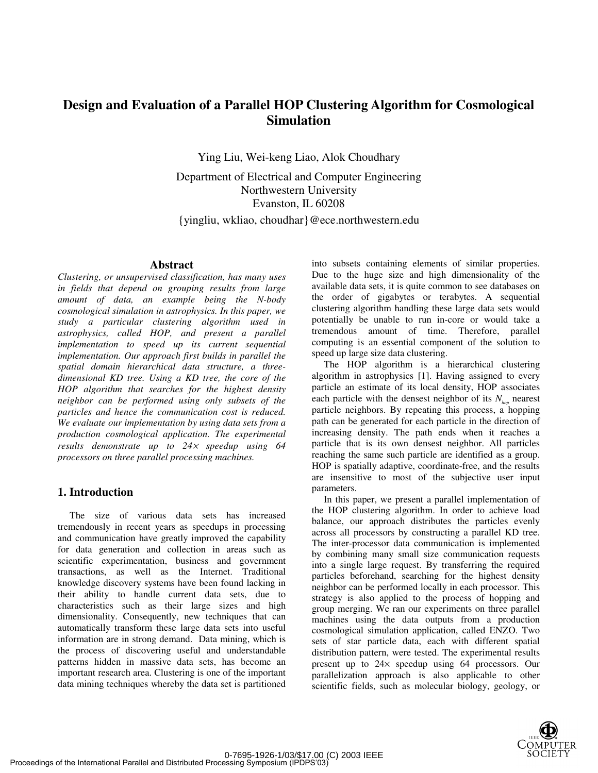# **Design and Evaluation of a Parallel HOP Clustering Algorithm for Cosmological Simulation**

Ying Liu, Wei-keng Liao, Alok Choudhary

Department of Electrical and Computer Engineering Northwestern University Evanston, IL 60208

{yingliu, wkliao, choudhar}@ece.northwestern.edu

# **Abstract**

*Clustering, or unsupervised classification, has many uses in fields that depend on grouping results from large amount of data, an example being the N-body cosmological simulation in astrophysics. In this paper, we study a particular clustering algorithm used in astrophysics, called HOP, and present a parallel implementation to speed up its current sequential implementation. Our approach first builds in parallel the spatial domain hierarchical data structure, a threedimensional KD tree. Using a KD tree, the core of the HOP algorithm that searches for the highest density neighbor can be performed using only subsets of the particles and hence the communication cost is reduced. We evaluate our implementation by using data sets from a production cosmological application. The experimental results demonstrate up to 24*× *speedup using 64 processors on three parallel processing machines.*

# **1. Introduction**

The size of various data sets has increased tremendously in recent years as speedups in processing and communication have greatly improved the capability for data generation and collection in areas such as scientific experimentation, business and government transactions, as well as the Internet. Traditional knowledge discovery systems have been found lacking in their ability to handle current data sets, due to characteristics such as their large sizes and high dimensionality. Consequently, new techniques that can automatically transform these large data sets into useful information are in strong demand. Data mining, which is the process of discovering useful and understandable patterns hidden in massive data sets, has become an important research area. Clustering is one of the important data mining techniques whereby the data set is partitioned into subsets containing elements of similar properties. Due to the huge size and high dimensionality of the available data sets, it is quite common to see databases on the order of gigabytes or terabytes. A sequential clustering algorithm handling these large data sets would potentially be unable to run in-core or would take a tremendous amount of time. Therefore, parallel computing is an essential component of the solution to speed up large size data clustering.

The HOP algorithm is a hierarchical clustering algorithm in astrophysics [1]. Having assigned to every particle an estimate of its local density, HOP associates each particle with the densest neighbor of its  $N_{\text{top}}$  nearest particle neighbors. By repeating this process, a hopping path can be generated for each particle in the direction of increasing density. The path ends when it reaches a particle that is its own densest neighbor. All particles reaching the same such particle are identified as a group. HOP is spatially adaptive, coordinate-free, and the results are insensitive to most of the subjective user input parameters.

In this paper, we present a parallel implementation of the HOP clustering algorithm. In order to achieve load balance, our approach distributes the particles evenly across all processors by constructing a parallel KD tree. The inter-processor data communication is implemented by combining many small size communication requests into a single large request. By transferring the required particles beforehand, searching for the highest density neighbor can be performed locally in each processor. This strategy is also applied to the process of hopping and group merging. We ran our experiments on three parallel machines using the data outputs from a production cosmological simulation application, called ENZO. Two sets of star particle data, each with different spatial distribution pattern, were tested. The experimental results present up to 24× speedup using 64 processors. Our parallelization approach is also applicable to other scientific fields, such as molecular biology, geology, or

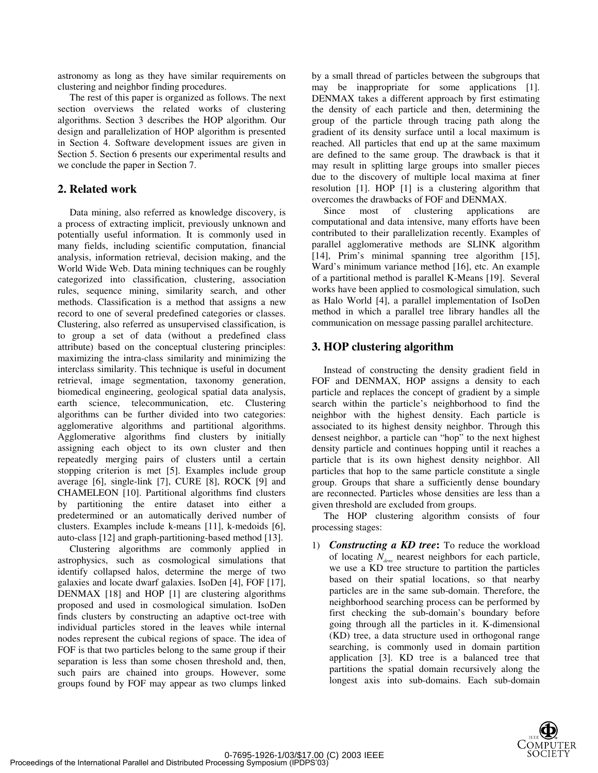astronomy as long as they have similar requirements on clustering and neighbor finding procedures.

The rest of this paper is organized as follows. The next section overviews the related works of clustering algorithms. Section 3 describes the HOP algorithm. Our design and parallelization of HOP algorithm is presented in Section 4. Software development issues are given in Section 5. Section 6 presents our experimental results and we conclude the paper in Section 7.

# **2. Related work**

Data mining, also referred as knowledge discovery, is a process of extracting implicit, previously unknown and potentially useful information. It is commonly used in many fields, including scientific computation, financial analysis, information retrieval, decision making, and the World Wide Web. Data mining techniques can be roughly categorized into classification, clustering, association rules, sequence mining, similarity search, and other methods. Classification is a method that assigns a new record to one of several predefined categories or classes. Clustering, also referred as unsupervised classification, is to group a set of data (without a predefined class attribute) based on the conceptual clustering principles: maximizing the intra-class similarity and minimizing the interclass similarity. This technique is useful in document retrieval, image segmentation, taxonomy generation, biomedical engineering, geological spatial data analysis, earth science, telecommunication, etc. Clustering algorithms can be further divided into two categories: agglomerative algorithms and partitional algorithms. Agglomerative algorithms find clusters by initially assigning each object to its own cluster and then repeatedly merging pairs of clusters until a certain stopping criterion is met [5]. Examples include group average [6], single-link [7], CURE [8], ROCK [9] and CHAMELEON [10]. Partitional algorithms find clusters by partitioning the entire dataset into either a predetermined or an automatically derived number of clusters. Examples include k-means [11], k-medoids [6], auto-class [12] and graph-partitioning-based method [13].

Clustering algorithms are commonly applied in astrophysics, such as cosmological simulations that identify collapsed halos, determine the merge of two galaxies and locate dwarf galaxies. IsoDen [4], FOF [17], DENMAX [18] and HOP [1] are clustering algorithms proposed and used in cosmological simulation. IsoDen finds clusters by constructing an adaptive oct-tree with individual particles stored in the leaves while internal nodes represent the cubical regions of space. The idea of FOF is that two particles belong to the same group if their separation is less than some chosen threshold and, then, such pairs are chained into groups. However, some groups found by FOF may appear as two clumps linked by a small thread of particles between the subgroups that may be inappropriate for some applications [1]. DENMAX takes a different approach by first estimating the density of each particle and then, determining the group of the particle through tracing path along the gradient of its density surface until a local maximum is reached. All particles that end up at the same maximum are defined to the same group. The drawback is that it may result in splitting large groups into smaller pieces due to the discovery of multiple local maxima at finer resolution [1]. HOP [1] is a clustering algorithm that overcomes the drawbacks of FOF and DENMAX.

Since most of clustering applications are computational and data intensive, many efforts have been contributed to their parallelization recently. Examples of parallel agglomerative methods are SLINK algorithm [14], Prim's minimal spanning tree algorithm [15], Ward's minimum variance method [16], etc. An example of a partitional method is parallel K-Means [19]. Several works have been applied to cosmological simulation, such as Halo World [4], a parallel implementation of IsoDen method in which a parallel tree library handles all the communication on message passing parallel architecture.

# **3. HOP clustering algorithm**

Instead of constructing the density gradient field in FOF and DENMAX, HOP assigns a density to each particle and replaces the concept of gradient by a simple search within the particle's neighborhood to find the neighbor with the highest density. Each particle is associated to its highest density neighbor. Through this densest neighbor, a particle can "hop" to the next highest density particle and continues hopping until it reaches a particle that is its own highest density neighbor. All particles that hop to the same particle constitute a single group. Groups that share a sufficiently dense boundary are reconnected. Particles whose densities are less than a given threshold are excluded from groups.

The HOP clustering algorithm consists of four processing stages:

1) *Constructing a KD tree***:** To reduce the workload of locating *Ndens* nearest neighbors for each particle, we use a KD tree structure to partition the particles based on their spatial locations, so that nearby particles are in the same sub-domain. Therefore, the neighborhood searching process can be performed by first checking the sub-domain's boundary before going through all the particles in it. K-dimensional (KD) tree, a data structure used in orthogonal range searching, is commonly used in domain partition application [3]. KD tree is a balanced tree that partitions the spatial domain recursively along the longest axis into sub-domains. Each sub-domain

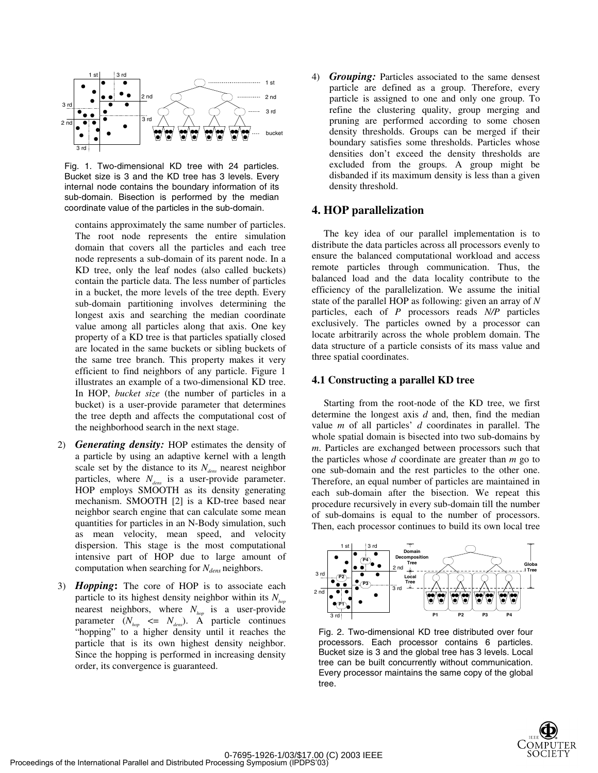

Fig. 1. Two-dimensional KD tree with 24 particles. Bucket size is 3 and the KD tree has 3 levels. Every internal node contains the boundary information of its sub-domain. Bisection is performed by the median coordinate value of the particles in the sub-domain.

contains approximately the same number of particles. The root node represents the entire simulation domain that covers all the particles and each tree node represents a sub-domain of its parent node. In a KD tree, only the leaf nodes (also called buckets) contain the particle data. The less number of particles in a bucket, the more levels of the tree depth. Every sub-domain partitioning involves determining the longest axis and searching the median coordinate value among all particles along that axis. One key property of a KD tree is that particles spatially closed are located in the same buckets or sibling buckets of the same tree branch. This property makes it very efficient to find neighbors of any particle. Figure 1 illustrates an example of a two-dimensional KD tree. In HOP, *bucket size* (the number of particles in a bucket) is a user-provide parameter that determines the tree depth and affects the computational cost of the neighborhood search in the next stage.

- 2) *Generating density:* HOP estimates the density of a particle by using an adaptive kernel with a length scale set by the distance to its  $N_{\text{dens}}$  nearest neighbor particles, where  $N_{dens}$  is a user-provide parameter. HOP employs SMOOTH as its density generating mechanism. SMOOTH [2] is a KD-tree based near neighbor search engine that can calculate some mean quantities for particles in an N-Body simulation, such as mean velocity, mean speed, and velocity dispersion. This stage is the most computational intensive part of HOP due to large amount of computation when searching for *N*<sub>dens</sub> neighbors.
- 3) *Hopping***:** The core of HOP is to associate each particle to its highest density neighbor within its  $N_{\text{hon}}$ nearest neighbors, where  $N_{hop}$  is a user-provide parameter  $(N_{\text{hop}} \leq N_{\text{dens}})$ . A particle continues "hopping" to a higher density until it reaches the particle that is its own highest density neighbor. Since the hopping is performed in increasing density order, its convergence is guaranteed.

4) *Grouping:* Particles associated to the same densest particle are defined as a group. Therefore, every particle is assigned to one and only one group. To refine the clustering quality, group merging and pruning are performed according to some chosen density thresholds. Groups can be merged if their boundary satisfies some thresholds. Particles whose densities don't exceed the density thresholds are excluded from the groups. A group might be disbanded if its maximum density is less than a given density threshold.

#### **4. HOP parallelization**

The key idea of our parallel implementation is to distribute the data particles across all processors evenly to ensure the balanced computational workload and access remote particles through communication. Thus, the balanced load and the data locality contribute to the efficiency of the parallelization. We assume the initial state of the parallel HOP as following: given an array of *N* particles, each of *P* processors reads *N/P* particles exclusively. The particles owned by a processor can locate arbitrarily across the whole problem domain. The data structure of a particle consists of its mass value and three spatial coordinates.

#### **4.1 Constructing a parallel KD tree**

Starting from the root-node of the KD tree, we first determine the longest axis *d* and, then, find the median value *m* of all particles' *d* coordinates in parallel. The whole spatial domain is bisected into two sub-domains by *m*. Particles are exchanged between processors such that the particles whose *d* coordinate are greater than *m* go to one sub-domain and the rest particles to the other one. Therefore, an equal number of particles are maintained in each sub-domain after the bisection. We repeat this procedure recursively in every sub-domain till the number of sub-domains is equal to the number of processors. Then, each processor continues to build its own local tree



Fig. 2. Two-dimensional KD tree distributed over four processors. Each processor contains 6 particles. Bucket size is 3 and the global tree has 3 levels. Local tree can be built concurrently without communication. Every processor maintains the same copy of the global tree.

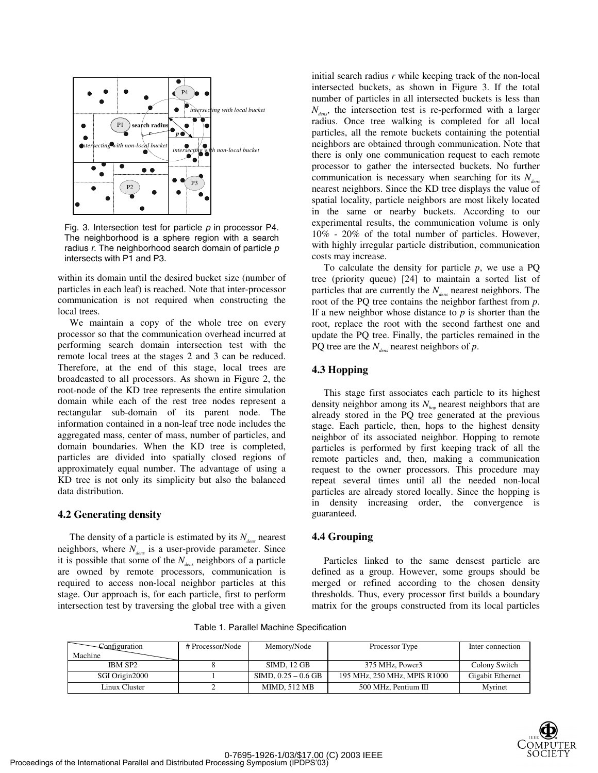

Fig. 3. Intersection test for particle  $p$  in processor P4. The neighborhood is a sphere region with a search radius  $r$ . The neighborhood search domain of particle  $p$ intersects with P1 and P3.

within its domain until the desired bucket size (number of particles in each leaf) is reached. Note that inter-processor communication is not required when constructing the local trees.

We maintain a copy of the whole tree on every processor so that the communication overhead incurred at performing search domain intersection test with the remote local trees at the stages 2 and 3 can be reduced. Therefore, at the end of this stage, local trees are broadcasted to all processors. As shown in Figure 2, the root-node of the KD tree represents the entire simulation domain while each of the rest tree nodes represent a rectangular sub-domain of its parent node. The information contained in a non-leaf tree node includes the aggregated mass, center of mass, number of particles, and domain boundaries. When the KD tree is completed, particles are divided into spatially closed regions of approximately equal number. The advantage of using a KD tree is not only its simplicity but also the balanced data distribution.

#### **4.2 Generating density**

The density of a particle is estimated by its  $N_{\text{des}}$  nearest neighbors, where  $N_{dens}$  is a user-provide parameter. Since it is possible that some of the  $N_{\text{dens}}$  neighbors of a particle are owned by remote processors, communication is required to access non-local neighbor particles at this stage. Our approach is, for each particle, first to perform intersection test by traversing the global tree with a given

initial search radius *r* while keeping track of the non-local intersected buckets, as shown in Figure 3. If the total number of particles in all intersected buckets is less than  $N_{\text{dens}}$ , the intersection test is re-performed with a larger radius. Once tree walking is completed for all local particles, all the remote buckets containing the potential neighbors are obtained through communication. Note that there is only one communication request to each remote processor to gather the intersected buckets. No further communication is necessary when searching for its  $N_{\text{dens}}$ nearest neighbors. Since the KD tree displays the value of spatial locality, particle neighbors are most likely located in the same or nearby buckets. According to our experimental results, the communication volume is only 10% - 20% of the total number of particles. However, with highly irregular particle distribution, communication costs may increase.

To calculate the density for particle *p*, we use a PQ tree (priority queue) [24] to maintain a sorted list of particles that are currently the  $N_{\text{dens}}$  nearest neighbors. The root of the PQ tree contains the neighbor farthest from *p*. If a new neighbor whose distance to  $p$  is shorter than the root, replace the root with the second farthest one and update the PQ tree. Finally, the particles remained in the PQ tree are the  $N_{\text{dens}}$  nearest neighbors of  $p$ .

#### **4.3 Hopping**

This stage first associates each particle to its highest density neighbor among its  $N_{h_n}$  nearest neighbors that are already stored in the PQ tree generated at the previous stage. Each particle, then, hops to the highest density neighbor of its associated neighbor. Hopping to remote particles is performed by first keeping track of all the remote particles and, then, making a communication request to the owner processors. This procedure may repeat several times until all the needed non-local particles are already stored locally. Since the hopping is in density increasing order, the convergence is guaranteed.

#### **4.4 Grouping**

Particles linked to the same densest particle are defined as a group. However, some groups should be merged or refined according to the chosen density thresholds. Thus, every processor first builds a boundary matrix for the groups constructed from its local particles

Table 1. Parallel Machine Specification

| Configuration<br>Machine | # Processor/Node | Memory/Node           | Processor Type               | Inter-connection |
|--------------------------|------------------|-----------------------|------------------------------|------------------|
| <b>IBM SP2</b>           |                  | SIMD, 12 GB           | 375 MHz, Power3              | Colony Switch    |
| SGI Origin2000           |                  | SIMD, $0.25 - 0.6$ GB | 195 MHz, 250 MHz, MPIS R1000 | Gigabit Ethernet |
| Linux Cluster            |                  | <b>MIMD, 512 MB</b>   | 500 MHz. Pentium III         | Myrinet          |

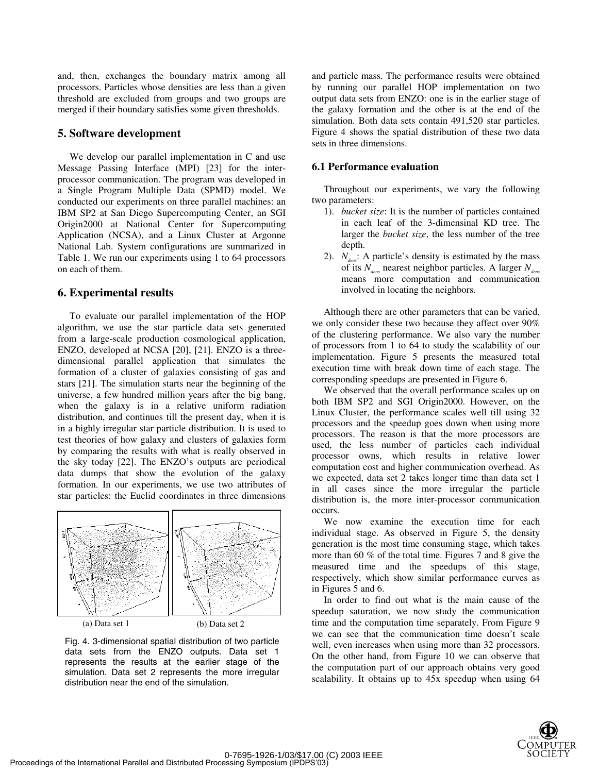and, then, exchanges the boundary matrix among all processors. Particles whose densities are less than a given threshold are excluded from groups and two groups are merged if their boundary satisfies some given thresholds.

# **5. Software development**

We develop our parallel implementation in C and use Message Passing Interface (MPI) [23] for the interprocessor communication. The program was developed in a Single Program Multiple Data (SPMD) model. We conducted our experiments on three parallel machines: an IBM SP2 at San Diego Supercomputing Center, an SGI Origin2000 at National Center for Supercomputing Application (NCSA), and a Linux Cluster at Argonne National Lab. System configurations are summarized in Table 1. We run our experiments using 1 to 64 processors on each of them.

# **6. Experimental results**

To evaluate our parallel implementation of the HOP algorithm, we use the star particle data sets generated from a large-scale production cosmological application, ENZO, developed at NCSA [20], [21]. ENZO is a threedimensional parallel application that simulates the formation of a cluster of galaxies consisting of gas and stars [21]. The simulation starts near the beginning of the universe, a few hundred million years after the big bang, when the galaxy is in a relative uniform radiation distribution, and continues till the present day, when it is in a highly irregular star particle distribution. It is used to test theories of how galaxy and clusters of galaxies form by comparing the results with what is really observed in the sky today [22]. The ENZO's outputs are periodical data dumps that show the evolution of the galaxy formation. In our experiments, we use two attributes of star particles: the Euclid coordinates in three dimensions



Fig. 4. 3-dimensional spatial distribution of two particle data sets from the ENZO outputs. Data set 1 represents the results at the earlier stage of the simulation. Data set 2 represents the more irregular distribution near the end of the simulation.

and particle mass. The performance results were obtained by running our parallel HOP implementation on two output data sets from ENZO: one is in the earlier stage of the galaxy formation and the other is at the end of the simulation. Both data sets contain 491,520 star particles. Figure 4 shows the spatial distribution of these two data sets in three dimensions.

# **6.1 Performance evaluation**

Throughout our experiments, we vary the following two parameters:

- 1). *bucket size*: It is the number of particles contained in each leaf of the 3-dimensinal KD tree. The larger the *bucket size*, the less number of the tree depth.
- 2).  $N_{den}$ : A particle's density is estimated by the mass of its  $N_{dens}$  nearest neighbor particles. A larger  $N_{dens}$ means more computation and communication involved in locating the neighbors.

Although there are other parameters that can be varied, we only consider these two because they affect over 90% of the clustering performance. We also vary the number of processors from 1 to 64 to study the scalability of our implementation. Figure 5 presents the measured total execution time with break down time of each stage. The corresponding speedups are presented in Figure 6.

We observed that the overall performance scales up on both IBM SP2 and SGI Origin2000. However, on the Linux Cluster, the performance scales well till using 32 processors and the speedup goes down when using more processors. The reason is that the more processors are used, the less number of particles each individual processor owns, which results in relative lower computation cost and higher communication overhead. As we expected, data set 2 takes longer time than data set 1 in all cases since the more irregular the particle distribution is, the more inter-processor communication occurs.

We now examine the execution time for each individual stage. As observed in Figure 5, the density generation is the most time consuming stage, which takes more than 60 % of the total time. Figures 7 and 8 give the measured time and the speedups of this stage, respectively, which show similar performance curves as in Figures 5 and 6.

In order to find out what is the main cause of the speedup saturation, we now study the communication time and the computation time separately. From Figure 9 we can see that the communication time doesn't scale well, even increases when using more than 32 processors. On the other hand, from Figure 10 we can observe that the computation part of our approach obtains very good scalability. It obtains up to 45x speedup when using 64

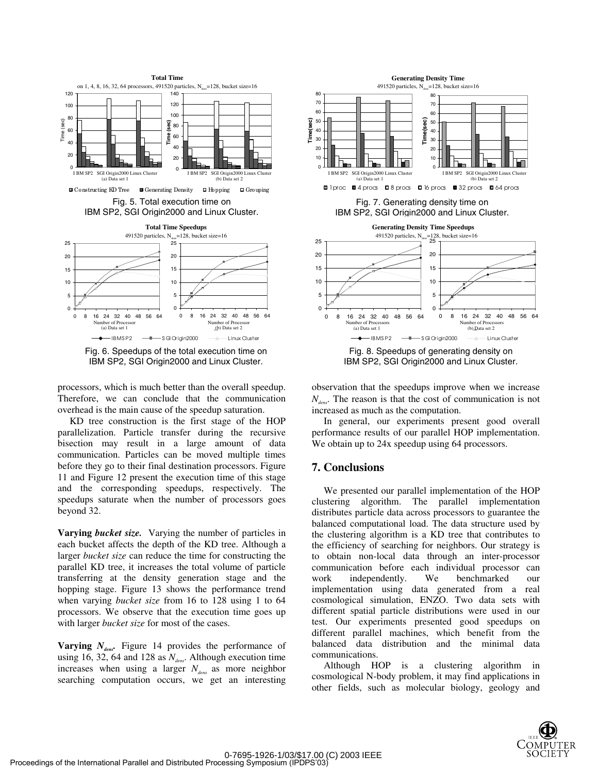

Fig. 6. Speedups of the total execution time on IBM SP2, SGI Origin2000 and Linux Cluster.

processors, which is much better than the overall speedup. Therefore, we can conclude that the communication overhead is the main cause of the speedup saturation.

KD tree construction is the first stage of the HOP parallelization. Particle transfer during the recursive bisection may result in a large amount of data communication. Particles can be moved multiple times before they go to their final destination processors. Figure 11 and Figure 12 present the execution time of this stage and the corresponding speedups, respectively. The speedups saturate when the number of processors goes beyond 32.

**Varying** *bucket size.* Varying the number of particles in each bucket affects the depth of the KD tree. Although a larger *bucket size* can reduce the time for constructing the parallel KD tree, it increases the total volume of particle transferring at the density generation stage and the hopping stage. Figure 13 shows the performance trend when varying *bucket size* from 16 to 128 using 1 to 64 processors. We observe that the execution time goes up with larger *bucket size* for most of the cases.

**Varying**  $N_{\text{der}}$ . Figure 14 provides the performance of using 16, 32, 64 and 128 as  $N_{\text{dens}}$ . Although execution time increases when using a larger  $N_{dens}$  as more neighbor searching computation occurs, we get an interesting



Fig. 8. Speedups of generating density on IBM SP2, SGI Origin2000 and Linux Cluster.

observation that the speedups improve when we increase  $N_{\text{max}}$ . The reason is that the cost of communication is not increased as much as the computation.

In general, our experiments present good overall performance results of our parallel HOP implementation. We obtain up to 24x speedup using 64 processors.

# **7. Conclusions**

We presented our parallel implementation of the HOP clustering algorithm. The parallel implementation distributes particle data across processors to guarantee the balanced computational load. The data structure used by the clustering algorithm is a KD tree that contributes to the efficiency of searching for neighbors. Our strategy is to obtain non-local data through an inter-processor communication before each individual processor can work independently. We benchmarked our implementation using data generated from a real cosmological simulation, ENZO. Two data sets with different spatial particle distributions were used in our test. Our experiments presented good speedups on different parallel machines, which benefit from the balanced data distribution and the minimal data communications.

Although HOP is a clustering algorithm in cosmological N-body problem, it may find applications in other fields, such as molecular biology, geology and

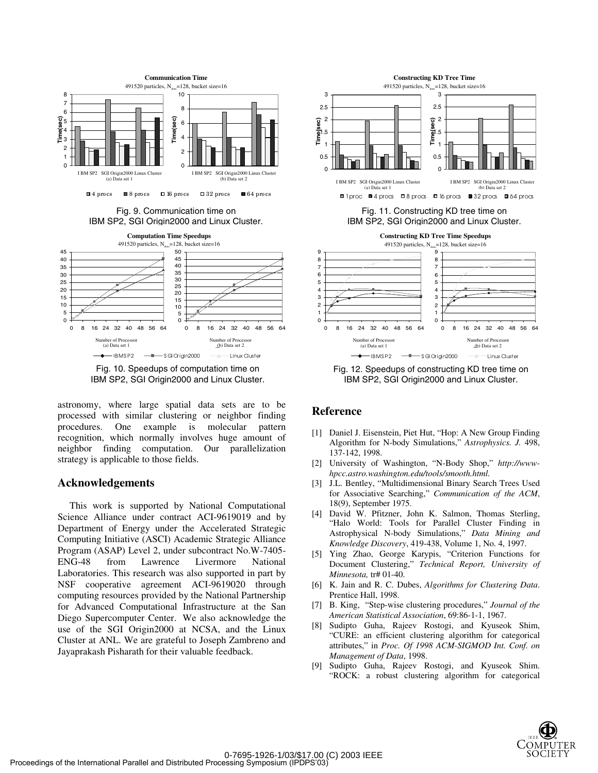



astronomy, where large spatial data sets are to be processed with similar clustering or neighbor finding procedures. One example is molecular pattern recognition, which normally involves huge amount of neighbor finding computation. Our parallelization strategy is applicable to those fields.

### **Acknowledgements**

This work is supported by National Computational Science Alliance under contract ACI-9619019 and by Department of Energy under the Accelerated Strategic Computing Initiative (ASCI) Academic Strategic Alliance Program (ASAP) Level 2, under subcontract No.W-7405- ENG-48 from Lawrence Livermore National Laboratories. This research was also supported in part by NSF cooperative agreement ACI-9619020 through computing resources provided by the National Partnership for Advanced Computational Infrastructure at the San Diego Supercomputer Center. We also acknowledge the use of the SGI Origin2000 at NCSA, and the Linux Cluster at ANL. We are grateful to Joseph Zambreno and Jayaprakash Pisharath for their valuable feedback.



Fig. 12. Speedups of constructing KD tree time on IBM SP2, SGI Origin2000 and Linux Cluster.

# **Reference**

- [1] Daniel J. Eisenstein, Piet Hut, "Hop: A New Group Finding Algorithm for N-body Simulations," *Astrophysics. J.* 498, 137-142, 1998.
- [2] University of Washington, "N-Body Shop," *http://wwwhpcc.astro.washington.edu/tools/smooth.html.*
- [3] J.L. Bentley, "Multidimensional Binary Search Trees Used for Associative Searching," *Communication of the ACM*, 18(9), September 1975.
- [4] David W. Pfitzner, John K. Salmon, Thomas Sterling, "Halo World: Tools for Parallel Cluster Finding in Astrophysical N-body Simulations," *Data Mining and Knowledge Discovery*, 419-438, Volume 1, No. 4, 1997.
- [5] Ying Zhao, George Karypis, "Criterion Functions for Document Clustering," *Technical Report, University of Minnesota,* tr# 01-40.
- [6] K. Jain and R. C. Dubes, *Algorithms for Clustering Data*. Prentice Hall, 1998.
- [7] B. King, "Step-wise clustering procedures," *Journal of the American Statistical Association*, 69:86-1-1, 1967.
- [8] Sudipto Guha, Rajeev Rostogi, and Kyuseok Shim, "CURE: an efficient clustering algorithm for categorical attributes," in *Proc. Of 1998 ACM-SIGMOD Int. Conf. on Management of Data*, 1998.
- [9] Sudipto Guha, Rajeev Rostogi, and Kyuseok Shim. "ROCK: a robust clustering algorithm for categorical